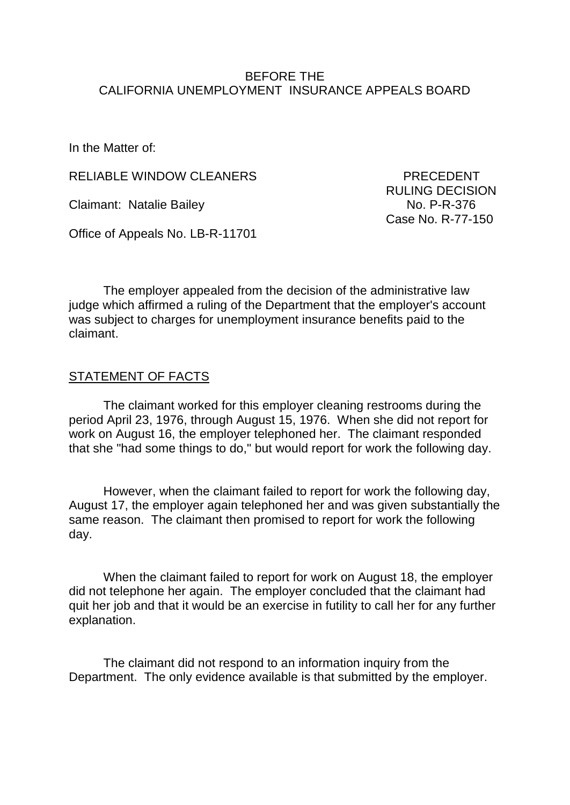#### BEFORE THE CALIFORNIA UNEMPLOYMENT INSURANCE APPEALS BOARD

In the Matter of:

RELIABLE WINDOW CLEANERS PRECEDENT

Claimant: Natalie Bailey No. P-R-376

Office of Appeals No. LB-R-11701

 RULING DECISION Case No. R-77-150

The employer appealed from the decision of the administrative law judge which affirmed a ruling of the Department that the employer's account was subject to charges for unemployment insurance benefits paid to the claimant.

## STATEMENT OF FACTS

The claimant worked for this employer cleaning restrooms during the period April 23, 1976, through August 15, 1976. When she did not report for work on August 16, the employer telephoned her. The claimant responded that she "had some things to do," but would report for work the following day.

However, when the claimant failed to report for work the following day, August 17, the employer again telephoned her and was given substantially the same reason. The claimant then promised to report for work the following day.

When the claimant failed to report for work on August 18, the employer did not telephone her again. The employer concluded that the claimant had quit her job and that it would be an exercise in futility to call her for any further explanation.

The claimant did not respond to an information inquiry from the Department. The only evidence available is that submitted by the employer.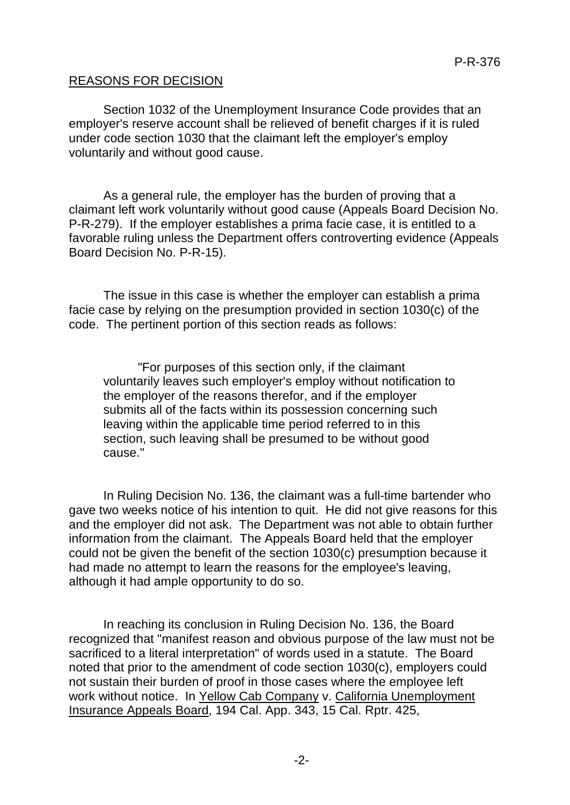### REASONS FOR DECISION

Section 1032 of the Unemployment Insurance Code provides that an employer's reserve account shall be relieved of benefit charges if it is ruled under code section 1030 that the claimant left the employer's employ voluntarily and without good cause.

As a general rule, the employer has the burden of proving that a claimant left work voluntarily without good cause (Appeals Board Decision No. P-R-279). If the employer establishes a prima facie case, it is entitled to a favorable ruling unless the Department offers controverting evidence (Appeals Board Decision No. P-R-15).

The issue in this case is whether the employer can establish a prima facie case by relying on the presumption provided in section 1030(c) of the code. The pertinent portion of this section reads as follows:

"For purposes of this section only, if the claimant voluntarily leaves such employer's employ without notification to the employer of the reasons therefor, and if the employer submits all of the facts within its possession concerning such leaving within the applicable time period referred to in this section, such leaving shall be presumed to be without good cause."

In Ruling Decision No. 136, the claimant was a full-time bartender who gave two weeks notice of his intention to quit. He did not give reasons for this and the employer did not ask. The Department was not able to obtain further information from the claimant. The Appeals Board held that the employer could not be given the benefit of the section 1030(c) presumption because it had made no attempt to learn the reasons for the employee's leaving, although it had ample opportunity to do so.

In reaching its conclusion in Ruling Decision No. 136, the Board recognized that "manifest reason and obvious purpose of the law must not be sacrificed to a literal interpretation" of words used in a statute. The Board noted that prior to the amendment of code section 1030(c), employers could not sustain their burden of proof in those cases where the employee left work without notice. In Yellow Cab Company v. California Unemployment Insurance Appeals Board, 194 Cal. App. 343, 15 Cal. Rptr. 425,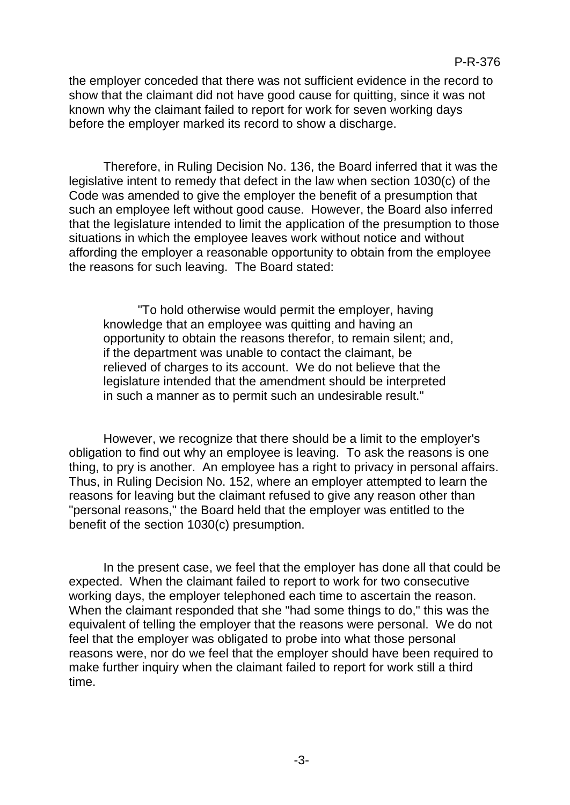the employer conceded that there was not sufficient evidence in the record to show that the claimant did not have good cause for quitting, since it was not known why the claimant failed to report for work for seven working days before the employer marked its record to show a discharge.

Therefore, in Ruling Decision No. 136, the Board inferred that it was the legislative intent to remedy that defect in the law when section 1030(c) of the Code was amended to give the employer the benefit of a presumption that such an employee left without good cause. However, the Board also inferred that the legislature intended to limit the application of the presumption to those situations in which the employee leaves work without notice and without affording the employer a reasonable opportunity to obtain from the employee the reasons for such leaving. The Board stated:

"To hold otherwise would permit the employer, having knowledge that an employee was quitting and having an opportunity to obtain the reasons therefor, to remain silent; and, if the department was unable to contact the claimant, be relieved of charges to its account. We do not believe that the legislature intended that the amendment should be interpreted in such a manner as to permit such an undesirable result."

However, we recognize that there should be a limit to the employer's obligation to find out why an employee is leaving. To ask the reasons is one thing, to pry is another. An employee has a right to privacy in personal affairs. Thus, in Ruling Decision No. 152, where an employer attempted to learn the reasons for leaving but the claimant refused to give any reason other than "personal reasons," the Board held that the employer was entitled to the benefit of the section 1030(c) presumption.

In the present case, we feel that the employer has done all that could be expected. When the claimant failed to report to work for two consecutive working days, the employer telephoned each time to ascertain the reason. When the claimant responded that she "had some things to do," this was the equivalent of telling the employer that the reasons were personal. We do not feel that the employer was obligated to probe into what those personal reasons were, nor do we feel that the employer should have been required to make further inquiry when the claimant failed to report for work still a third time.